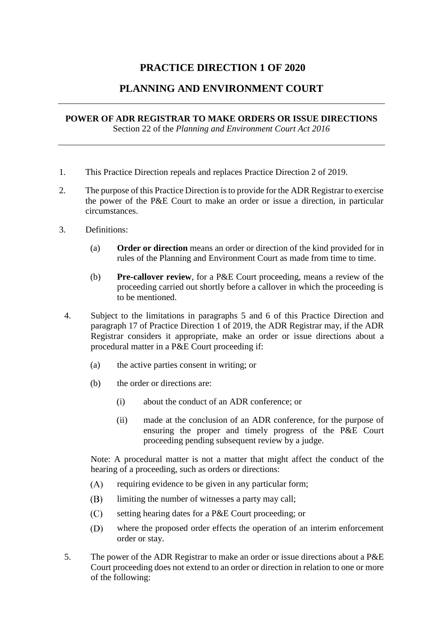## **PRACTICE DIRECTION 1 OF 2020**

## **PLANNING AND ENVIRONMENT COURT**

## **POWER OF ADR REGISTRAR TO MAKE ORDERS OR ISSUE DIRECTIONS** Section 22 of the *Planning and Environment Court Act 2016*

- 1. This Practice Direction repeals and replaces Practice Direction 2 of 2019.
- 2. The purpose of this Practice Direction is to provide for the ADR Registrar to exercise the power of the P&E Court to make an order or issue a direction, in particular circumstances.
- 3. Definitions:
	- (a) **Order or direction** means an order or direction of the kind provided for in rules of the Planning and Environment Court as made from time to time.
	- (b) **Pre-callover review**, for a P&E Court proceeding, means a review of the proceeding carried out shortly before a callover in which the proceeding is to be mentioned.
	- 4. Subject to the limitations in paragraphs 5 and 6 of this Practice Direction and paragraph 17 of Practice Direction 1 of 2019, the ADR Registrar may, if the ADR Registrar considers it appropriate, make an order or issue directions about a procedural matter in a P&E Court proceeding if:
		- (a) the active parties consent in writing; or
		- (b) the order or directions are:
			- (i) about the conduct of an ADR conference; or
			- (ii) made at the conclusion of an ADR conference, for the purpose of ensuring the proper and timely progress of the P&E Court proceeding pending subsequent review by a judge.

Note: A procedural matter is not a matter that might affect the conduct of the hearing of a proceeding, such as orders or directions:

- $(A)$ requiring evidence to be given in any particular form;
- (B) limiting the number of witnesses a party may call;
- $(C)$ setting hearing dates for a P&E Court proceeding; or
- (D) where the proposed order effects the operation of an interim enforcement order or stay.
- 5. The power of the ADR Registrar to make an order or issue directions about a P&E Court proceeding does not extend to an order or direction in relation to one or more of the following: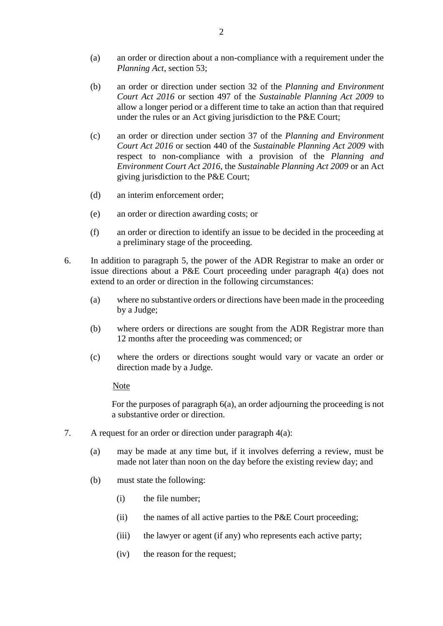- (a) an order or direction about a non-compliance with a requirement under the *Planning Act*, section 53;
- (b) an order or direction under section 32 of the *Planning and Environment Court Act 2016* or section 497 of the *Sustainable Planning Act 2009* to allow a longer period or a different time to take an action than that required under the rules or an Act giving jurisdiction to the P&E Court;
- (c) an order or direction under section 37 of the *Planning and Environment Court Act 2016* or section 440 of the *Sustainable Planning Act 2009* with respect to non-compliance with a provision of the *Planning and Environment Court Act 2016*, the *Sustainable Planning Act 2009* or an Act giving jurisdiction to the P&E Court;
- (d) an interim enforcement order;
- (e) an order or direction awarding costs; or
- (f) an order or direction to identify an issue to be decided in the proceeding at a preliminary stage of the proceeding.
- 6. In addition to paragraph 5, the power of the ADR Registrar to make an order or issue directions about a P&E Court proceeding under paragraph 4(a) does not extend to an order or direction in the following circumstances:
	- (a) where no substantive orders or directions have been made in the proceeding by a Judge;
	- (b) where orders or directions are sought from the ADR Registrar more than 12 months after the proceeding was commenced; or
	- (c) where the orders or directions sought would vary or vacate an order or direction made by a Judge.

## Note

For the purposes of paragraph 6(a), an order adjourning the proceeding is not a substantive order or direction.

- 7. A request for an order or direction under paragraph 4(a):
	- (a) may be made at any time but, if it involves deferring a review, must be made not later than noon on the day before the existing review day; and
	- (b) must state the following:
		- (i) the file number;
		- (ii) the names of all active parties to the P&E Court proceeding;
		- (iii) the lawyer or agent (if any) who represents each active party;
		- (iv) the reason for the request;